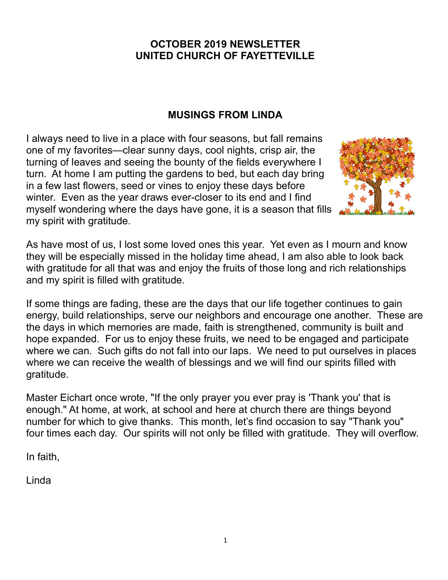#### **OCTOBER 2019 NEWSLETTER UNITED CHURCH OF FAYETTEVILLE**

#### **MUSINGS FROM LINDA**

I always need to live in a place with four seasons, but fall remains one of my favorites—clear sunny days, cool nights, crisp air, the turning of leaves and seeing the bounty of the fields everywhere I turn. At home I am putting the gardens to bed, but each day bring in a few last flowers, seed or vines to enjoy these days before winter. Even as the year draws ever-closer to its end and I find myself wondering where the days have gone, it is a season that fills my spirit with gratitude.



As have most of us, I lost some loved ones this year. Yet even as I mourn and know they will be especially missed in the holiday time ahead, I am also able to look back with gratitude for all that was and enjoy the fruits of those long and rich relationships and my spirit is filled with gratitude.

If some things are fading, these are the days that our life together continues to gain energy, build relationships, serve our neighbors and encourage one another. These are the days in which memories are made, faith is strengthened, community is built and hope expanded. For us to enjoy these fruits, we need to be engaged and participate where we can. Such gifts do not fall into our laps. We need to put ourselves in places where we can receive the wealth of blessings and we will find our spirits filled with gratitude.

Master Eichart once wrote, "If the only prayer you ever pray is 'Thank you' that is enough." At home, at work, at school and here at church there are things beyond number for which to give thanks. This month, let's find occasion to say "Thank you" four times each day. Our spirits will not only be filled with gratitude. They will overflow.

In faith,

Linda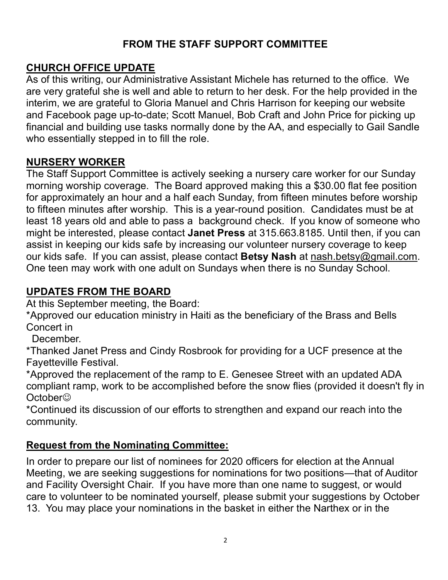## **FROM THE STAFF SUPPORT COMMITTEE**

## **CHURCH OFFICE UPDATE**

As of this writing, our Administrative Assistant Michele has returned to the office. We are very grateful she is well and able to return to her desk. For the help provided in the interim, we are grateful to Gloria Manuel and Chris Harrison for keeping our website and Facebook page up-to-date; Scott Manuel, Bob Craft and John Price for picking up financial and building use tasks normally done by the AA, and especially to Gail Sandle who essentially stepped in to fill the role.

## **NURSERY WORKER**

The Staff Support Committee is actively seeking a nursery care worker for our Sunday morning worship coverage. The Board approved making this a \$30.00 flat fee position for approximately an hour and a half each Sunday, from fifteen minutes before worship to fifteen minutes after worship. This is a year-round position. Candidates must be at least 18 years old and able to pass a background check. If you know of someone who might be interested, please contact **Janet Press** at 315.663.8185. Until then, if you can assist in keeping our kids safe by increasing our volunteer nursery coverage to keep our kids safe. If you can assist, please contact **Betsy Nash** at nash.betsy@gmail.com. One teen may work with one adult on Sundays when there is no Sunday School.

## **UPDATES FROM THE BOARD**

At this September meeting, the Board:

\*Approved our education ministry in Haiti as the beneficiary of the Brass and Bells Concert in

December.

\*Thanked Janet Press and Cindy Rosbrook for providing for a UCF presence at the Fayetteville Festival.

\*Approved the replacement of the ramp to E. Genesee Street with an updated ADA compliant ramp, work to be accomplished before the snow flies (provided it doesn't fly in  $October  $\odot$$ 

\*Continued its discussion of our efforts to strengthen and expand our reach into the community.

## **Request from the Nominating Committee:**

In order to prepare our list of nominees for 2020 officers for election at the Annual Meeting, we are seeking suggestions for nominations for two positions—that of Auditor and Facility Oversight Chair. If you have more than one name to suggest, or would care to volunteer to be nominated yourself, please submit your suggestions by October 13. You may place your nominations in the basket in either the Narthex or in the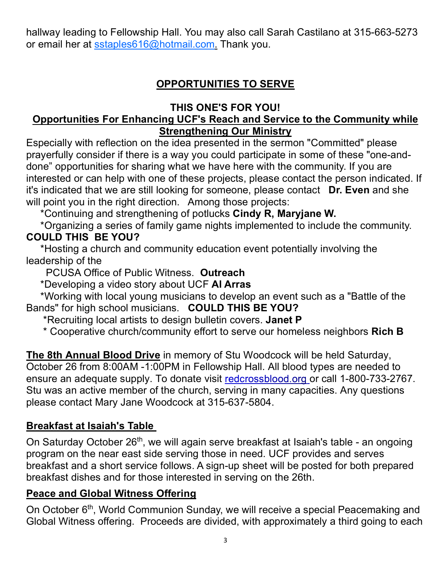hallway leading to Fellowship Hall. You may also call Sarah Castilano at 315-663-5273 or email her at sstaples616@hotmail.com. Thank you.

# **OPPORTUNITIES TO SERVE**

#### **THIS ONE'S FOR YOU!**

## **Opportunities For Enhancing UCF's Reach and Service to the Community while Strengthening Our Ministry**

Especially with reflection on the idea presented in the sermon "Committed" please prayerfully consider if there is a way you could participate in some of these "one-anddone" opportunities for sharing what we have here with the community. If you are interested or can help with one of these projects, please contact the person indicated. If it's indicated that we are still looking for someone, please contact **Dr. Even** and she will point you in the right direction. Among those projects:

\*Continuing and strengthening of potlucks **Cindy R, Maryjane W.**

 \*Organizing a series of family game nights implemented to include the community. **COULD THIS BE YOU?**

 \*Hosting a church and community education event potentially involving the leadership of the

PCUSA Office of Public Witness. **Outreach**

\*Developing a video story about UCF **Al Arras**

\*Working with local young musicians to develop an event such as a "Battle of the Bands" for high school musicians. **COULD THIS BE YOU?**

\*Recruiting local artists to design bulletin covers. **Janet P**

\* Cooperative church/community effort to serve our homeless neighbors **Rich B**

**The 8th Annual Blood Drive** in memory of Stu Woodcock will be held Saturday, October 26 from 8:00AM -1:00PM in Fellowship Hall. All blood types are needed to ensure an adequate supply. To donate visit redcrossblood.org or call 1-800-733-2767. Stu was an active member of the church, serving in many capacities. Any questions please contact Mary Jane Woodcock at 315-637-5804.

## **Breakfast at Isaiah's Table**

On Saturday October 26<sup>th</sup>, we will again serve breakfast at Isaiah's table - an ongoing program on the near east side serving those in need. UCF provides and serves breakfast and a short service follows. A sign-up sheet will be posted for both prepared breakfast dishes and for those interested in serving on the 26th.

## **Peace and Global Witness Offering**

On October 6<sup>th</sup>, World Communion Sunday, we will receive a special Peacemaking and Global Witness offering. Proceeds are divided, with approximately a third going to each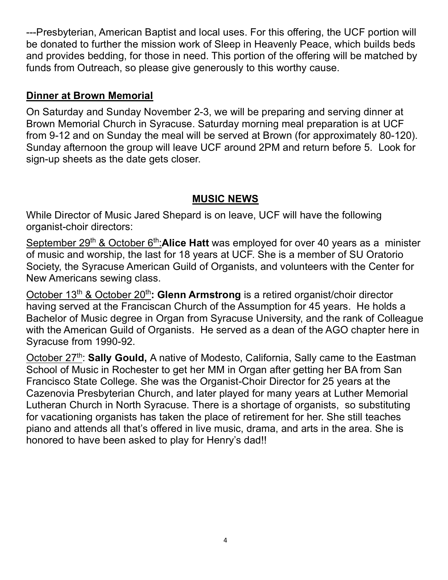---Presbyterian, American Baptist and local uses. For this offering, the UCF portion will be donated to further the mission work of Sleep in Heavenly Peace, which builds beds and provides bedding, for those in need. This portion of the offering will be matched by funds from Outreach, so please give generously to this worthy cause.

#### **Dinner at Brown Memorial**

On Saturday and Sunday November 2-3, we will be preparing and serving dinner at Brown Memorial Church in Syracuse. Saturday morning meal preparation is at UCF from 9-12 and on Sunday the meal will be served at Brown (for approximately 80-120). Sunday afternoon the group will leave UCF around 2PM and return before 5. Look for sign-up sheets as the date gets closer.

## **MUSIC NEWS**

While Director of Music Jared Shepard is on leave, UCF will have the following organist-choir directors:

September 29<sup>th</sup> & October 6<sup>th</sup>: Alice Hatt was employed for over 40 years as a minister of music and worship, the last for 18 years at UCF. She is a member of SU Oratorio Society, the Syracuse American Guild of Organists, and volunteers with the Center for New Americans sewing class.

October 13<sup>th</sup> & October 20<sup>th</sup>: Glenn Armstrong is a retired organist/choir director having served at the Franciscan Church of the Assumption for 45 years. He holds a Bachelor of Music degree in Organ from Syracuse University, and the rank of Colleague with the American Guild of Organists. He served as a dean of the AGO chapter here in Syracuse from 1990-92.

October 27<sup>th</sup>: **Sally Gould,** A native of Modesto, California, Sally came to the Eastman School of Music in Rochester to get her MM in Organ after getting her BA from San Francisco State College. She was the Organist-Choir Director for 25 years at the Cazenovia Presbyterian Church, and later played for many years at Luther Memorial Lutheran Church in North Syracuse. There is a shortage of organists, so substituting for vacationing organists has taken the place of retirement for her. She still teaches piano and attends all that's offered in live music, drama, and arts in the area. She is honored to have been asked to play for Henry's dad!!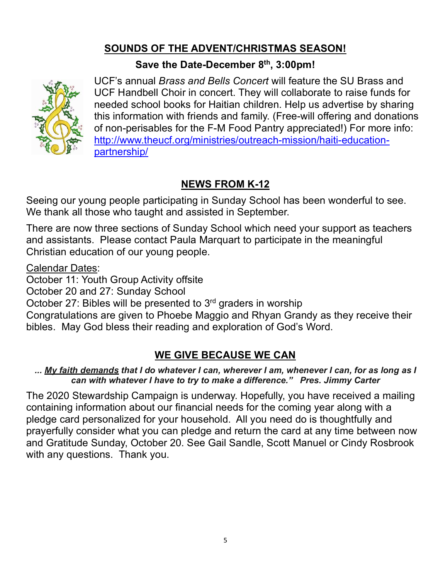## **SOUNDS OF THE ADVENT/CHRISTMAS SEASON!**

**Save the Date-December 8th, 3:00pm!**



UCF's annual *Brass and Bells Concert* will feature the SU Brass and UCF Handbell Choir in concert. They will collaborate to raise funds for needed school books for Haitian children. Help us advertise by sharing this information with friends and family. (Free-will offering and donations of non-perisables for the F-M Food Pantry appreciated!) For more info: http://www.theucf.org/ministries/outreach-mission/haiti-educationpartnership/

# **NEWS FROM K-12**

Seeing our young people participating in Sunday School has been wonderful to see. We thank all those who taught and assisted in September.

There are now three sections of Sunday School which need your support as teachers and assistants. Please contact Paula Marquart to participate in the meaningful Christian education of our young people.

Calendar Dates:

October 11: Youth Group Activity offsite

October 20 and 27: Sunday School

October 27: Bibles will be presented to 3rd graders in worship

Congratulations are given to Phoebe Maggio and Rhyan Grandy as they receive their bibles. May God bless their reading and exploration of God's Word.

## **WE GIVE BECAUSE WE CAN**

*... My faith demands that I do whatever I can, wherever I am, whenever I can, for as long as I can with whatever I have to try to make a difference." Pres. Jimmy Carter*

The 2020 Stewardship Campaign is underway. Hopefully, you have received a mailing containing information about our financial needs for the coming year along with a pledge card personalized for your household. All you need do is thoughtfully and prayerfully consider what you can pledge and return the card at any time between now and Gratitude Sunday, October 20. See Gail Sandle, Scott Manuel or Cindy Rosbrook with any questions. Thank you.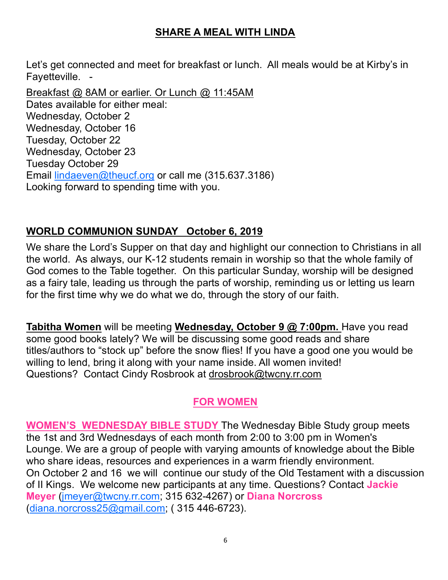#### **SHARE A MEAL WITH LINDA**

Let's get connected and meet for breakfast or lunch. All meals would be at Kirby's in Fayetteville. -

Breakfast @ 8AM or earlier. Or Lunch @ 11:45AM Dates available for either meal: Wednesday, October 2 Wednesday, October 16 Tuesday, October 22 Wednesday, October 23 Tuesday October 29 Email lindaeven@theucf.org or call me (315.637.3186) Looking forward to spending time with you.

#### **WORLD COMMUNION SUNDAY October 6, 2019**

We share the Lord's Supper on that day and highlight our connection to Christians in all the world. As always, our K-12 students remain in worship so that the whole family of God comes to the Table together. On this particular Sunday, worship will be designed as a fairy tale, leading us through the parts of worship, reminding us or letting us learn for the first time why we do what we do, through the story of our faith.

**Tabitha Women** will be meeting **Wednesday, October 9 @ 7:00pm.** Have you read some good books lately? We will be discussing some good reads and share titles/authors to "stock up" before the snow flies! If you have a good one you would be willing to lend, bring it along with your name inside. All women invited! Questions? Contact Cindy Rosbrook at drosbrook@twcny.rr.com

## **FOR WOMEN**

**WOMEN'S WEDNESDAY BIBLE STUDY** The Wednesday Bible Study group meets the 1st and 3rd Wednesdays of each month from 2:00 to 3:00 pm in Women's Lounge. We are a group of people with varying amounts of knowledge about the Bible who share ideas, resources and experiences in a warm friendly environment. On October 2 and 16 we will continue our study of the Old Testament with a discussion of II Kings. We welcome new participants at any time. Questions? Contact **Jackie Meyer** (jmeyer@twcny.rr.com; 315 632-4267) or **Diana Norcross** (diana.norcross25@gmail.com; ( 315 446-6723).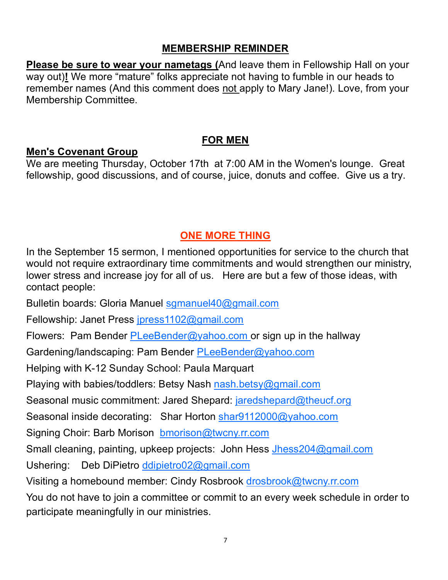#### **MEMBERSHIP REMINDER**

**Please be sure to wear your nametags (**And leave them in Fellowship Hall on your way out)**!** We more "mature" folks appreciate not having to fumble in our heads to remember names (And this comment does not apply to Mary Jane!). Love, from your Membership Committee.

#### **FOR MEN**

#### **Men's Covenant Group**

We are meeting Thursday, October 17th at 7:00 AM in the Women's lounge. Great fellowship, good discussions, and of course, juice, donuts and coffee. Give us a try.

## **ONE MORE THING**

In the September 15 sermon, I mentioned opportunities for service to the church that would not require extraordinary time commitments and would strengthen our ministry, lower stress and increase joy for all of us. Here are but a few of those ideas, with contact people:

Bulletin boards: Gloria Manuel sgmanuel40@gmail.com

Fellowship: Janet Press jpress1102@gmail.com

Flowers: Pam Bender PLeeBender@yahoo.com or sign up in the hallway

Gardening/landscaping: Pam Bender PLeeBender@yahoo.com

Helping with K-12 Sunday School: Paula Marquart

Playing with babies/toddlers: Betsy Nash nash.betsy@gmail.com

Seasonal music commitment: Jared Shepard: jaredshepard@theucf.org

Seasonal inside decorating: Shar Horton shar9112000@yahoo.com

Signing Choir: Barb Morison bmorison@twcny.rr.com

Small cleaning, painting, upkeep projects: John Hess Jhess204@gmail.com

Ushering: Deb DiPietro ddipietro02@gmail.com

Visiting a homebound member: Cindy Rosbrook drosbrook@twcny.rr.com

You do not have to join a committee or commit to an every week schedule in order to participate meaningfully in our ministries.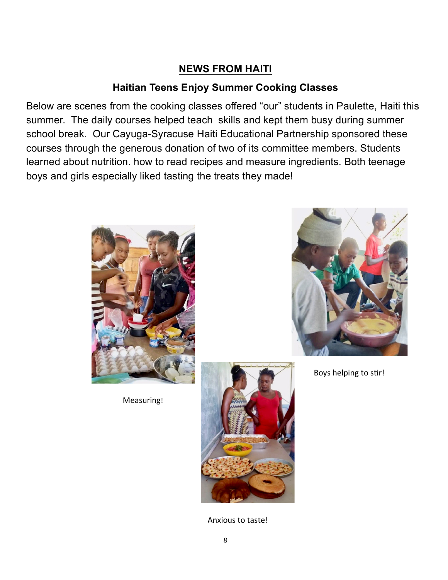## **NEWS FROM HAITI**

## **Haitian Teens Enjoy Summer Cooking Classes**

Below are scenes from the cooking classes offered "our" students in Paulette, Haiti this summer. The daily courses helped teach skills and kept them busy during summer school break. Our Cayuga-Syracuse Haiti Educational Partnership sponsored these courses through the generous donation of two of its committee members. Students learned about nutrition. how to read recipes and measure ingredients. Both teenage boys and girls especially liked tasting the treats they made!



Measuring!



Boys helping to stir!



Anxious to taste!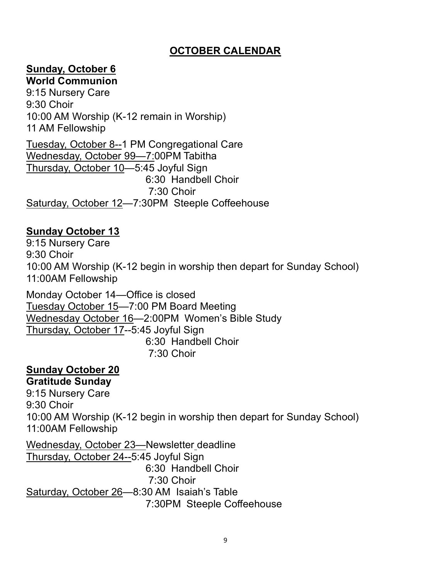## **OCTOBER CALENDAR**

# **Sunday, October 6**

**World Communion** 9:15 Nursery Care 9:30 Choir 10:00 AM Worship (K-12 remain in Worship) 11 AM Fellowship Tuesday, October 8--1 PM Congregational Care Wednesday, October 99—7:00PM Tabitha Thursday, October 10—5:45 Joyful Sign 6:30 Handbell Choir 7:30 Choir Saturday, October 12—7:30PM Steeple Coffeehouse

## **Sunday October 13**

9:15 Nursery Care 9:30 Choir 10:00 AM Worship (K-12 begin in worship then depart for Sunday School) 11:00AM Fellowship

Monday October 14—Office is closed Tuesday October 15—7:00 PM Board Meeting Wednesday October 16—2:00PM Women's Bible Study Thursday, October 17--5:45 Joyful Sign 6:30 Handbell Choir

7:30 Choir

# **Sunday October 20**

**Gratitude Sunday** 9:15 Nursery Care 9:30 Choir 10:00 AM Worship (K-12 begin in worship then depart for Sunday School) 11:00AM Fellowship Wednesday, October 23—Newsletter deadline Thursday, October 24--5:45 Joyful Sign

 6:30 Handbell Choir 7:30 Choir Saturday, October 26—8:30 AM Isaiah's Table 7:30PM Steeple Coffeehouse